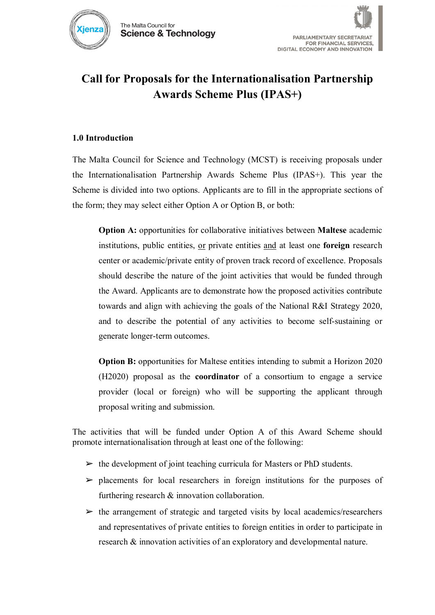



# **Call for Proposals for the Internationalisation Partnership Awards Scheme Plus (IPAS+)**

### **1.0 Introduction**

The Malta Council for Science and Technology (MCST) is receiving proposals under the Internationalisation Partnership Awards Scheme Plus (IPAS+). This year the Scheme is divided into two options. Applicants are to fill in the appropriate sections of the form; they may select either Option A or Option B, or both:

**Option A:** opportunities for collaborative initiatives between **Maltese** academic institutions, public entities, or private entities and at least one **foreign** research center or academic/private entity of proven track record of excellence. Proposals should describe the nature of the joint activities that would be funded through the Award. Applicants are to demonstrate how the proposed activities contribute towards and align with achieving the goals of the National R&I Strategy 2020, and to describe the potential of any activities to become self-sustaining or generate longer-term outcomes.

**Option B:** opportunities for Maltese entities intending to submit a Horizon 2020 (H2020) proposal as the **coordinator** of a consortium to engage a service provider (local or foreign) who will be supporting the applicant through proposal writing and submission.

The activities that will be funded under Option A of this Award Scheme should promote internationalisation through at least one of the following:

- $\triangleright$  the development of joint teaching curricula for Masters or PhD students.
- $\triangleright$  placements for local researchers in foreign institutions for the purposes of furthering research & innovation collaboration.
- $\triangleright$  the arrangement of strategic and targeted visits by local academics/researchers and representatives of private entities to foreign entities in order to participate in research & innovation activities of an exploratory and developmental nature.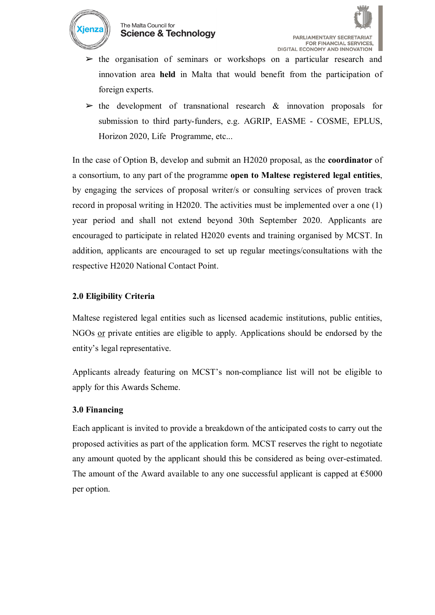

#### The Malta Council for **Science & Technology**



- $\triangleright$  the organisation of seminars or workshops on a particular research and innovation area **held** in Malta that would benefit from the participation of foreign experts.
- $\triangleright$  the development of transnational research & innovation proposals for submission to third party-funders, e.g. AGRIP, EASME - COSME, EPLUS, Horizon 2020, Life Programme, etc...

In the case of Option B, develop and submit an H2020 proposal, as the **coordinator** of a consortium, to any part of the programme **open to Maltese registered legal entities**, by engaging the services of proposal writer/s or consulting services of proven track record in proposal writing in H2020. The activities must be implemented over a one (1) year period and shall not extend beyond 30th September 2020. Applicants are encouraged to participate in related H2020 events and training organised by MCST. In addition, applicants are encouraged to set up regular meetings/consultations with the respective H2020 National Contact Point.

### **2.0 Eligibility Criteria**

Maltese registered legal entities such as licensed academic institutions, public entities, NGOs or private entities are eligible to apply. Applications should be endorsed by the entity's legal representative.

Applicants already featuring on MCST's non-compliance list will not be eligible to apply for this Awards Scheme.

#### **3.0 Financing**

Each applicant is invited to provide a breakdown of the anticipated costs to carry out the proposed activities as part of the application form. MCST reserves the right to negotiate any amount quoted by the applicant should this be considered as being over-estimated. The amount of the Award available to any one successful applicant is capped at  $\epsilon$ 5000 per option.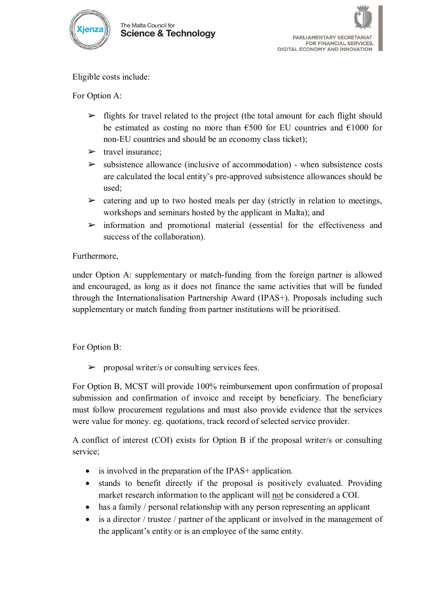



Eligible costs include:

For Option A:

- $\triangleright$  flights for travel related to the project (the total amount for each flight should be estimated as costing no more than  $\epsilon$ 500 for EU countries and  $\epsilon$ 1000 for non-EU countries and should be an economy class ticket);
- $\triangleright$  travel insurance:
- $\triangleright$  subsistence allowance (inclusive of accommodation) when subsistence costs are calculated the local entity's pre-approved subsistence allowances should be used;
- $\triangleright$  catering and up to two hosted meals per day (strictly in relation to meetings, workshops and seminars hosted by the applicant in Malta); and
- $\triangleright$  information and promotional material (essential for the effectiveness and success of the collaboration).

### Furthermore,

under Option A: supplementary or match-funding from the foreign partner is allowed and encouraged, as long as it does not finance the same activities that will be funded through the Internationalisation Partnership Award (IPAS+). Proposals including such supplementary or match funding from partner institutions will be prioritised.

# For Option B:

 $\triangleright$  proposal writer/s or consulting services fees.

For Option B, MCST will provide 100% reimbursement upon confirmation of proposal submission and confirmation of invoice and receipt by beneficiary. The beneficiary must follow procurement regulations and must also provide evidence that the services were value for money. eg. quotations, track record of selected service provider.

A conflict of interest (COI) exists for Option B if the proposal writer/s or consulting service;

- is involved in the preparation of the IPAS+ application.
- stands to benefit directly if the proposal is positively evaluated. Providing market research information to the applicant will not be considered a COI.
- has a family / personal relationship with any person representing an applicant
- is a director / trustee / partner of the applicant or involved in the management of the applicant's entity or is an employee of the same entity.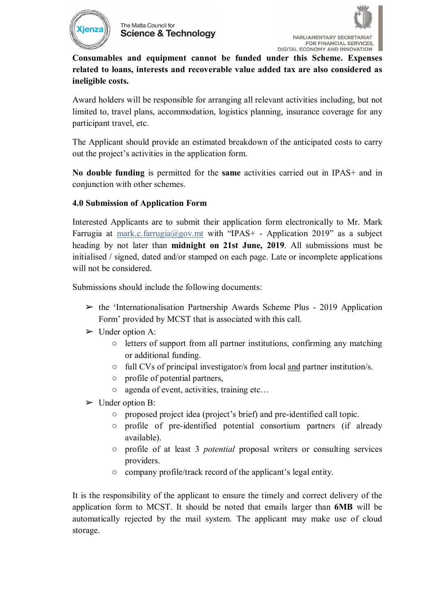



**Consumables and equipment cannot be funded under this Scheme. Expenses related to loans, interests and recoverable value added tax are also considered as ineligible costs.**

Award holders will be responsible for arranging all relevant activities including, but not limited to, travel plans, accommodation, logistics planning, insurance coverage for any participant travel, etc.

The Applicant should provide an estimated breakdown of the anticipated costs to carry out the project's activities in the application form.

**No double funding** is permitted for the **same** activities carried out in IPAS+ and in conjunction with other schemes.

### **4.0 Submission of Application Form**

Interested Applicants are to submit their application form electronically to Mr. Mark Farrugia at [mark.c.farrugia@gov.mt](mailto:mark.c.farrugia@gov.mt) with "IPAS+ - Application 2019" as a subject heading by not later than **midnight on 21st June, 2019**. All submissions must be initialised / signed, dated and/or stamped on each page. Late or incomplete applications will not be considered.

Submissions should include the following documents:

- $\triangleright$  the 'Internationalisation Partnership Awards Scheme Plus 2019 Application Form' provided by MCST that is associated with this call.
- $\triangleright$  Under option A:
	- letters of support from all partner institutions, confirming any matching or additional funding.
	- full CVs of principal investigator/s from local and partner institution/s.
	- profile of potential partners,
	- agenda of event, activities, training etc…
- $\triangleright$  Under option B:
	- proposed project idea (project's brief) and pre-identified call topic.
	- profile of pre-identified potential consortium partners (if already available).
	- profile of at least 3 *potential* proposal writers or consulting services providers.
	- company profile/track record of the applicant's legal entity.

It is the responsibility of the applicant to ensure the timely and correct delivery of the application form to MCST. It should be noted that emails larger than **6MB** will be automatically rejected by the mail system. The applicant may make use of cloud storage.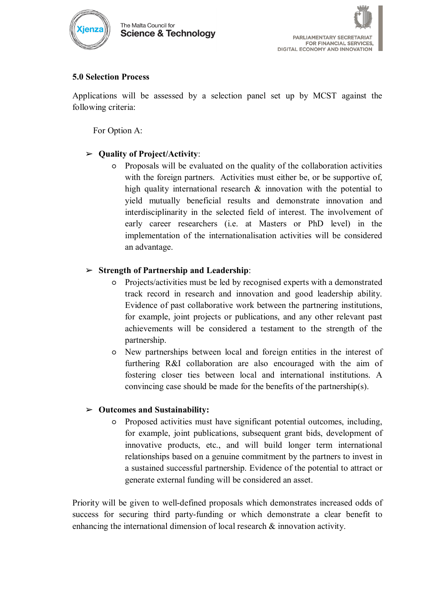

### **5.0 Selection Process**

Applications will be assessed by a selection panel set up by MCST against the following criteria:

For Option A:

# ➢ **Quality of Project/Activity**:

○ Proposals will be evaluated on the quality of the collaboration activities with the foreign partners. Activities must either be, or be supportive of, high quality international research & innovation with the potential to yield mutually beneficial results and demonstrate innovation and interdisciplinarity in the selected field of interest. The involvement of early career researchers (i.e. at Masters or PhD level) in the implementation of the internationalisation activities will be considered an advantage.

# ➢ **Strength of Partnership and Leadership**:

- Projects/activities must be led by recognised experts with a demonstrated track record in research and innovation and good leadership ability. Evidence of past collaborative work between the partnering institutions, for example, joint projects or publications, and any other relevant past achievements will be considered a testament to the strength of the partnership.
- New partnerships between local and foreign entities in the interest of furthering R&I collaboration are also encouraged with the aim of fostering closer ties between local and international institutions. A convincing case should be made for the benefits of the partnership(s).

# ➢ **Outcomes and Sustainability:**

○ Proposed activities must have significant potential outcomes, including, for example, joint publications, subsequent grant bids, development of innovative products, etc., and will build longer term international relationships based on a genuine commitment by the partners to invest in a sustained successful partnership. Evidence of the potential to attract or generate external funding will be considered an asset.

Priority will be given to well-defined proposals which demonstrates increased odds of success for securing third party-funding or which demonstrate a clear benefit to enhancing the international dimension of local research & innovation activity.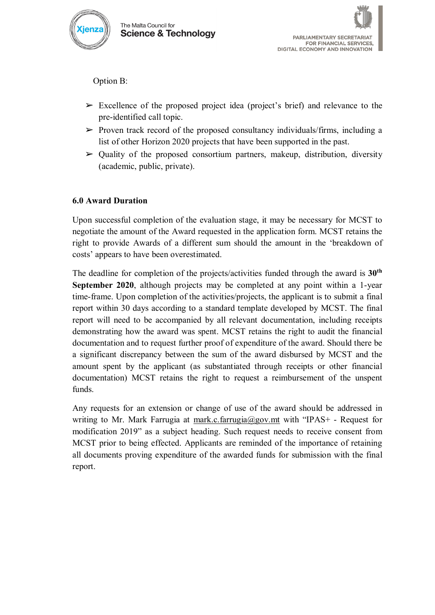

Option B:

- $\triangleright$  Excellence of the proposed project idea (project's brief) and relevance to the pre-identified call topic.
- $\triangleright$  Proven track record of the proposed consultancy individuals/firms, including a list of other Horizon 2020 projects that have been supported in the past.
- $\triangleright$  Quality of the proposed consortium partners, makeup, distribution, diversity (academic, public, private).

# **6.0 Award Duration**

Upon successful completion of the evaluation stage, it may be necessary for MCST to negotiate the amount of the Award requested in the application form. MCST retains the right to provide Awards of a different sum should the amount in the 'breakdown of costs' appears to have been overestimated.

The deadline for completion of the projects/activities funded through the award is **30th September 2020**, although projects may be completed at any point within a 1-year time-frame. Upon completion of the activities/projects, the applicant is to submit a final report within 30 days according to a standard template developed by MCST. The final report will need to be accompanied by all relevant documentation, including receipts demonstrating how the award was spent. MCST retains the right to audit the financial documentation and to request further proof of expenditure of the award. Should there be a significant discrepancy between the sum of the award disbursed by MCST and the amount spent by the applicant (as substantiated through receipts or other financial documentation) MCST retains the right to request a reimbursement of the unspent funds.

Any requests for an extension or change of use of the award should be addressed in writing to Mr. Mark Farrugia at [mark.c.farrugia@gov.mt](mailto:mark.c.farrugia@gov.mt) with "IPAS+ - Request for modification 2019" as a subject heading. Such request needs to receive consent from MCST prior to being effected. Applicants are reminded of the importance of retaining all documents proving expenditure of the awarded funds for submission with the final report.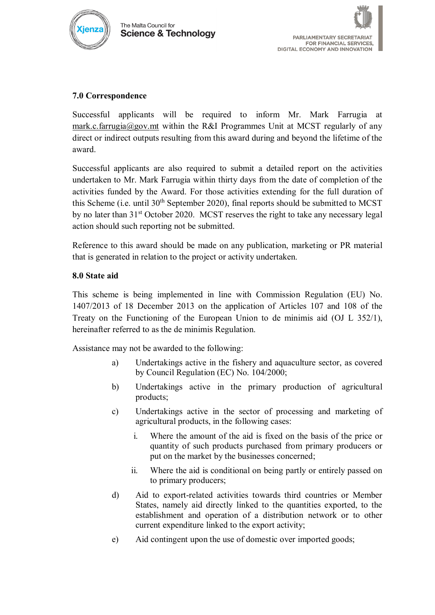



#### **7.0 Correspondence**

Successful applicants will be required to inform Mr. Mark Farrugia at [mark.c.farrugia@gov.mt](mailto:mark.c.farrugia@gov.mt) within the R&I Programmes Unit at MCST regularly of any direct or indirect outputs resulting from this award during and beyond the lifetime of the award.

Successful applicants are also required to submit a detailed report on the activities undertaken to Mr. Mark Farrugia within thirty days from the date of completion of the activities funded by the Award. For those activities extending for the full duration of this Scheme (i.e. until  $30<sup>th</sup>$  September 2020), final reports should be submitted to MCST by no later than  $31<sup>st</sup>$  October 2020. MCST reserves the right to take any necessary legal action should such reporting not be submitted.

Reference to this award should be made on any publication, marketing or PR material that is generated in relation to the project or activity undertaken.

#### **8.0 State aid**

This scheme is being implemented in line with Commission Regulation (EU) No. 1407/2013 of 18 December 2013 on the application of Articles 107 and 108 of the Treaty on the Functioning of the European Union to de minimis aid (OJ L 352/1), hereinafter referred to as the de minimis Regulation.

Assistance may not be awarded to the following:

- a) Undertakings active in the fishery and aquaculture sector, as covered by Council Regulation (EC) No. 104/2000;
- b) Undertakings active in the primary production of agricultural products;
- c) Undertakings active in the sector of processing and marketing of agricultural products, in the following cases:
	- i. Where the amount of the aid is fixed on the basis of the price or quantity of such products purchased from primary producers or put on the market by the businesses concerned;
	- ii. Where the aid is conditional on being partly or entirely passed on to primary producers;
- d) Aid to export-related activities towards third countries or Member States, namely aid directly linked to the quantities exported, to the establishment and operation of a distribution network or to other current expenditure linked to the export activity;
- e) Aid contingent upon the use of domestic over imported goods;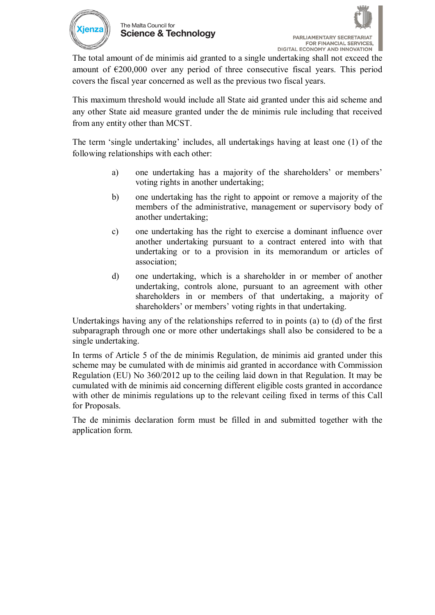



The total amount of de minimis aid granted to a single undertaking shall not exceed the amount of  $\epsilon$ 200,000 over any period of three consecutive fiscal years. This period covers the fiscal year concerned as well as the previous two fiscal years.

This maximum threshold would include all State aid granted under this aid scheme and any other State aid measure granted under the de minimis rule including that received from any entity other than MCST.

The term 'single undertaking' includes, all undertakings having at least one (1) of the following relationships with each other:

- a) one undertaking has a majority of the shareholders' or members' voting rights in another undertaking;
- b) one undertaking has the right to appoint or remove a majority of the members of the administrative, management or supervisory body of another undertaking;
- c) one undertaking has the right to exercise a dominant influence over another undertaking pursuant to a contract entered into with that undertaking or to a provision in its memorandum or articles of association;
- d) one undertaking, which is a shareholder in or member of another undertaking, controls alone, pursuant to an agreement with other shareholders in or members of that undertaking, a majority of shareholders' or members' voting rights in that undertaking.

Undertakings having any of the relationships referred to in points (a) to (d) of the first subparagraph through one or more other undertakings shall also be considered to be a single undertaking.

In terms of Article 5 of the de minimis Regulation, de minimis aid granted under this scheme may be cumulated with de minimis aid granted in accordance with Commission Regulation (EU) No 360/2012 up to the ceiling laid down in that Regulation. It may be cumulated with de minimis aid concerning different eligible costs granted in accordance with other de minimis regulations up to the relevant ceiling fixed in terms of this Call for Proposals.

The de minimis declaration form must be filled in and submitted together with the application form.